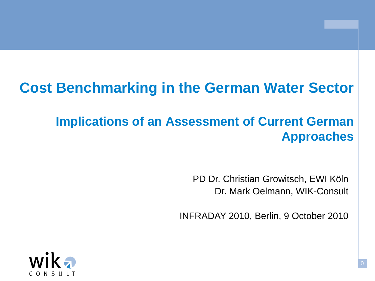# **Cost Benchmarking in the German Water Sector**

## **Implications of an Assessment of Current German Approaches**

PD Dr. Christian Growitsch, EWI Köln Dr. Mark Oelmann, WIK-Consult

INFRADAY 2010, Berlin, 9 October 2010

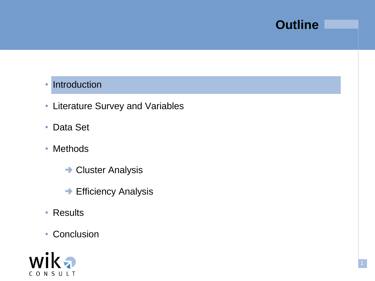### • Introduction

- Literature Survey and Variables
- Data Set
- Methods
	- **Cluster Analysis**
	- **→ Efficiency Analysis**
- Results
- Conclusion

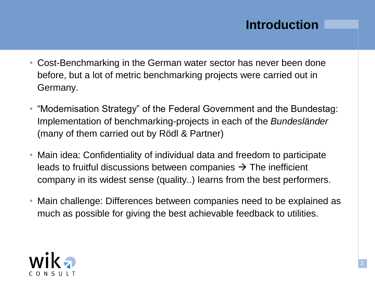## **Introduction**

- Cost-Benchmarking in the German water sector has never been done before, but a lot of metric benchmarking projects were carried out in Germany.
- "Modernisation Strategy" of the Federal Government and the Bundestag: Implementation of benchmarking-projects in each of the *Bundesländer*  (many of them carried out by Rödl & Partner)
- Main idea: Confidentiality of individual data and freedom to participate leads to fruitful discussions between companies  $\rightarrow$  The inefficient company in its widest sense (quality..) learns from the best performers.
- Main challenge: Differences between companies need to be explained as much as possible for giving the best achievable feedback to utilities.

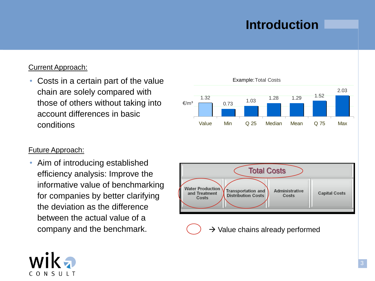## **Introduction**

#### Current Approach:

• Costs in a certain part of the value chain are solely compared with those of others without taking into account differences in basic conditions

#### Future Approach:

• Aim of introducing established efficiency analysis: Improve the informative value of benchmarking for companies by better clarifying the deviation as the difference between the actual value of a company and the benchmark.



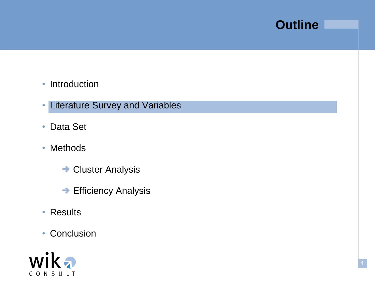- Introduction
- Literature Survey and Variables
- Data Set
- Methods
	- **Cluster Analysis**
	- **→ Efficiency Analysis**
- Results
- Conclusion

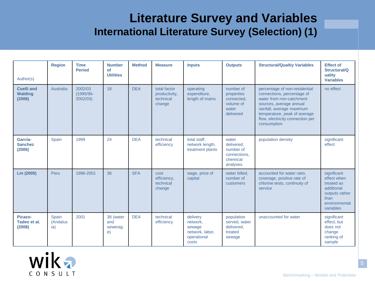### **Literature Survey and Variables International Literature Survey (Selection) (1)**

| Author(s)                                     | <b>Region</b>            | <b>Time</b><br><b>Period</b>     | <b>Number</b><br>of<br><b>Utilities</b> | <b>Method</b> | <b>Measure</b>                                       | <b>Inputs</b>                                                             | <b>Outputs</b>                                                           | <b>Structural/Qualtiy Variables</b>                                                                                                                                                                                                | <b>Effect of</b><br>Structural/Q<br>uality<br><b>Variables</b>                                                 |
|-----------------------------------------------|--------------------------|----------------------------------|-----------------------------------------|---------------|------------------------------------------------------|---------------------------------------------------------------------------|--------------------------------------------------------------------------|------------------------------------------------------------------------------------------------------------------------------------------------------------------------------------------------------------------------------------|----------------------------------------------------------------------------------------------------------------|
| <b>Coelli and</b><br><b>Walding</b><br>(2006) | Australia                | 2002/03<br>(1995/96-<br>2002/03) | 18                                      | <b>DEA</b>    | total factor<br>productivity,<br>technical<br>change | operating<br>expenditure,<br>length of mains                              | number of<br>properties<br>connected,<br>volume of<br>water<br>delivered | percentage of non-residential<br>connections, percentage of<br>water from non-catchment<br>sources, average annual<br>rainfall, average maximum<br>temperature, peak of average<br>flow, electricity connection per<br>consumption | no effect                                                                                                      |
| García-<br><b>Sanchez</b><br>(2006)           | Spain                    | 1999                             | 24                                      | <b>DEA</b>    | technical<br>efficiency                              | total staff,<br>network length,<br>treatment plants                       | water<br>delivered,<br>number of<br>connections,<br>chemical<br>analyses | population density                                                                                                                                                                                                                 | significant<br>effect                                                                                          |
| Lin (2005)                                    | Peru                     | 1996-2001                        | 36                                      | <b>SFA</b>    | cost<br>efficiency,<br>technical<br>change           | wage, price of<br>capital                                                 | water billed,<br>number of<br>customers                                  | accounted for water ratio,<br>coverage, positive rate of<br>chlorine tests, continuity of<br>service                                                                                                                               | significant<br>effect when<br>treated as<br>additional<br>outputs rather<br>than<br>environmental<br>variables |
| Picazo-<br>Tadeo et al.<br>(2008)             | Spain<br>(Andalus<br>ia) | 2001                             | 38 (water<br>and<br>sewerag<br>e)       | <b>DEA</b>    | technical<br>efficiency                              | delivery<br>network.<br>sewage<br>network, labor,<br>operational<br>costs | population<br>served, water<br>delivered.<br>treated<br>sewage           | unaccounted for water                                                                                                                                                                                                              | significant<br>effect, but<br>does not<br>change<br>ranking of<br>sample                                       |

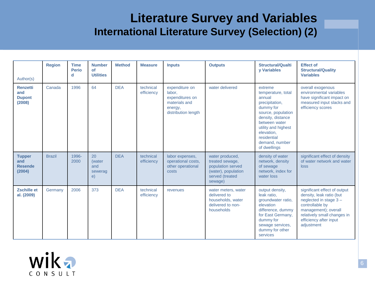### **Literature Survey and Variables International Literature Survey (Selection) (2)**

| Author(s)                                         | <b>Region</b> | <b>Time</b><br><b>Perio</b><br>d | <b>Number</b><br>of<br><b>Utilities</b> | <b>Method</b> | <b>Measure</b>          | <b>Inputs</b>                                                                                  | <b>Outputs</b>                                                                                               | <b>Structural/Qualti</b><br><b>v</b> Variables                                                                                                                                                                           | <b>Effect of</b><br><b>Structural/Quality</b><br><b>Variables</b>                                                                                                                                   |
|---------------------------------------------------|---------------|----------------------------------|-----------------------------------------|---------------|-------------------------|------------------------------------------------------------------------------------------------|--------------------------------------------------------------------------------------------------------------|--------------------------------------------------------------------------------------------------------------------------------------------------------------------------------------------------------------------------|-----------------------------------------------------------------------------------------------------------------------------------------------------------------------------------------------------|
| <b>Renzetti</b><br>and<br><b>Dupont</b><br>(2008) | Canada        | 1996                             | 64                                      | <b>DEA</b>    | technical<br>efficiency | expenditure on<br>labor,<br>expenditures on<br>materials and<br>energy,<br>distribution length | water delivered                                                                                              | extreme<br>temperature, total<br>annual<br>precipitation,<br>dummy for<br>source, population<br>density, distance<br>between water<br>utility and highest<br>elevation.<br>residential<br>demand, number<br>of dwellings | overall exogenous<br>environmental variables<br>have significant impact on<br>measured input slacks and<br>efficiency scores                                                                        |
| <b>Tupper</b><br>and<br><b>Resende</b><br>(2004)  | <b>Brazil</b> | 1996-<br>2000                    | 20<br>(water<br>and<br>sewerag<br>e)    | <b>DEA</b>    | technical<br>efficiency | labor expenses,<br>operational costs,<br>other operational<br>costs                            | water produced,<br>treated sewage,<br>population served<br>(water), population<br>served (treated<br>sewage) | density of water<br>network, density<br>of sewage<br>network, index for<br>water loss                                                                                                                                    | significant effect of density<br>of water network and water<br>loss                                                                                                                                 |
| <b>Zschille et</b><br>al. (2009)                  | Germany       | 2006                             | 373                                     | <b>DEA</b>    | technical<br>efficiency | revenues                                                                                       | water meters, water<br>delivered to<br>households, water<br>delivered to non-<br>households                  | output density,<br>leak ratio,<br>groundwater ratio,<br>elevation<br>difference, dummy<br>for East Germany,<br>dummy for<br>sewage services,<br>dummy for other<br>services                                              | significant effect of output<br>density, leak ratio (but<br>neglected in stage 3-<br>controllable by<br>management); overall<br>relatively small changes in<br>efficiency after input<br>adjustment |

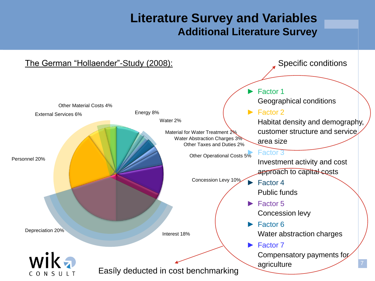### **Literature Survey and Variables Additional Literature Survey**

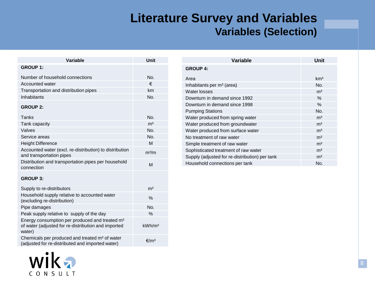### **Literature Survey and Variables Variables (Selection)**

| Variable                                                                                                                    | Unit               |
|-----------------------------------------------------------------------------------------------------------------------------|--------------------|
| <b>GROUP 1:</b>                                                                                                             |                    |
| Number of household connections                                                                                             | No.                |
| Accounted water                                                                                                             | €                  |
| Transportation and distribution pipes                                                                                       | km                 |
| Inhabitants                                                                                                                 | No.                |
| <b>GROUP 2:</b>                                                                                                             |                    |
| Tanks                                                                                                                       | No.                |
| Tank capacity                                                                                                               | m <sup>3</sup>     |
| Valves                                                                                                                      | No.                |
| Service areas                                                                                                               | No.                |
| <b>Height Difference</b>                                                                                                    | M                  |
| Accounted water (excl. re-distribution) to distribution<br>and transportation pipes                                         | m <sup>3</sup> /m  |
| Distribution and transportation pipes per household<br>connection                                                           | M                  |
| <b>GROUP 3:</b>                                                                                                             |                    |
| Supply to re-distributors                                                                                                   | m <sup>3</sup>     |
| Household supply relative to accounted water<br>(excluding re-distribution)                                                 | $\frac{0}{0}$      |
| Pipe damages                                                                                                                | No.                |
| Peak supply relative to supply of the day                                                                                   | $\%$               |
| Energy consumption per produced and treated m <sup>3</sup><br>of water (adjusted for re-distribution and imported<br>water) | kWh/m <sup>3</sup> |
| Chemicals per produced and treated m <sup>3</sup> of water<br>(adjusted for re-distributed and imported water)              | €/m <sup>3</sup>   |

| <b>Variable</b>                                | Unit            |
|------------------------------------------------|-----------------|
| <b>GROUP 4:</b>                                |                 |
| Area                                           | km <sup>2</sup> |
| Inhabitants per m <sup>3</sup> (area)          | No.             |
| Water losses                                   | m <sup>3</sup>  |
| Downturn in demand since 1992                  | $\%$            |
| Downturn in demand since 1998                  | $\%$            |
| <b>Pumping Stations</b>                        | No.             |
| Water produced from spring water               | m <sup>3</sup>  |
| Water produced from groundwater                | m <sup>3</sup>  |
| Water produced from surface water              | m <sup>3</sup>  |
| No treatment of raw water                      | m <sup>3</sup>  |
| Simple treatment of raw water                  | m <sup>3</sup>  |
| Sophisticated treatment of raw water           | m <sup>3</sup>  |
| Supply (adjusted for re-distribution) per tank | m <sup>3</sup>  |
| Household connections per tank                 | No.             |
|                                                |                 |

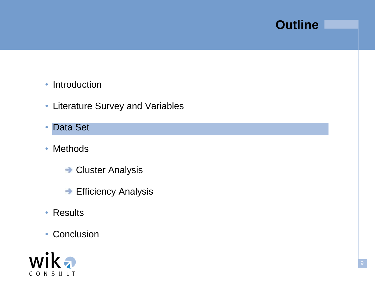- Introduction
- Literature Survey and Variables
- Data Set
- Methods
	- **Cluster Analysis**
	- **→ Efficiency Analysis**
- Results
- Conclusion

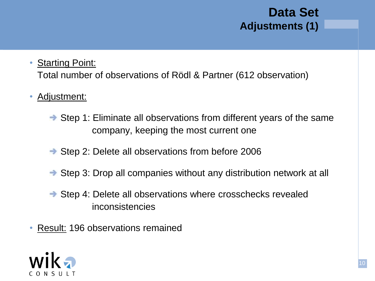### **Data Set Adjustments (1)**

### • **Starting Point:**

Total number of observations of Rödl & Partner (612 observation)

### Adjustment:

- $\rightarrow$  Step 1: Eliminate all observations from different years of the same company, keeping the most current one
- **→ Step 2: Delete all observations from before 2006**
- **→ Step 3: Drop all companies without any distribution network at all**
- **→ Step 4: Delete all observations where crosschecks revealed** inconsistencies
- Result: 196 observations remained

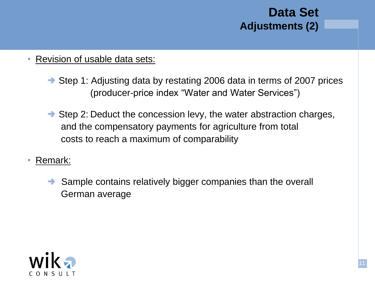

- Revision of usable data sets:
	- **→ Step 1: Adjusting data by restating 2006 data in terms of 2007 prices** (producer-price index "Water and Water Services")
	- $\rightarrow$  Step 2: Deduct the concession levy, the water abstraction charges, and the compensatory payments for agriculture from total costs to reach a maximum of comparability
- Remark:
	- $\rightarrow$  Sample contains relatively bigger companies than the overall German average

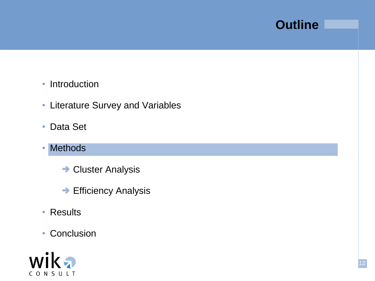- Introduction
- Literature Survey and Variables
- Data Set
- Methods
	- **Cluster Analysis**
	- **→ Efficiency Analysis**
- Results
- Conclusion

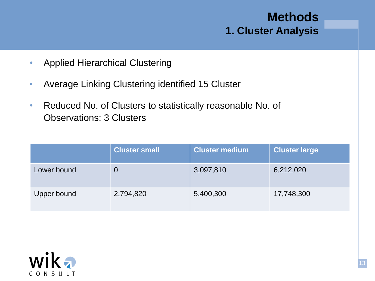### **Methods 1. Cluster Analysis**

- Applied Hierarchical Clustering
- Average Linking Clustering identified 15 Cluster
- Reduced No. of Clusters to statistically reasonable No. of Observations: 3 Clusters

|                    | <b>Cluster small</b> | <b>Cluster medium</b> | <b>Cluster large</b> |
|--------------------|----------------------|-----------------------|----------------------|
| Lower bound        |                      | 3,097,810             | 6,212,020            |
| <b>Upper bound</b> | 2,794,820            | 5,400,300             | 17,748,300           |

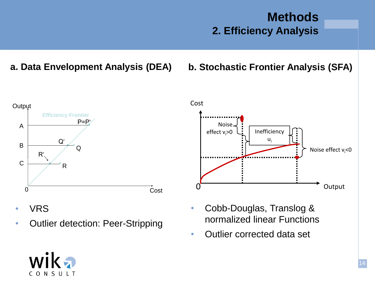### **Methods 2. Efficiency Analysis**

**a. Data Envelopment Analysis (DEA) b. Stochastic Frontier Analysis (SFA)**



• Outlier detection: Peer-Stripping

- Noise effect  $v_i$ <0 0 Output Noise effect  $v > 0$   $\begin{bmatrix} \cdot \\ \cdot \end{bmatrix}$  Inefficiency  $U_i$
- Cobb-Douglas, Translog & normalized linear Functions
- Outlier corrected data set

Cost



• VRS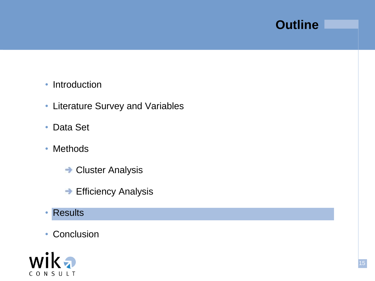- Introduction
- Literature Survey and Variables
- Data Set
- Methods
	- **Cluster Analysis**
	- **→ Efficiency Analysis**
- Results
- Conclusion

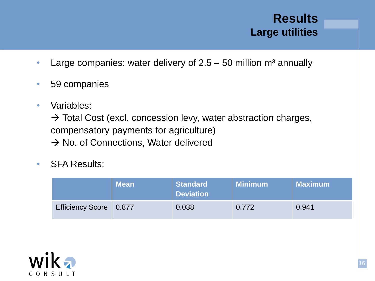### **Results Large utilities**

- Large companies: water delivery of  $2.5 50$  million  $m<sup>3</sup>$  annually
- 59 companies
- Variables:

 $\rightarrow$  Total Cost (excl. concession levy, water abstraction charges, compensatory payments for agriculture)  $\rightarrow$  No. of Connections, Water delivered

• SFA Results:

|                        | <b>Mean</b> | <b>Standard</b><br><b>Deviation</b> | <b>Minimum</b> | Maximum |
|------------------------|-------------|-------------------------------------|----------------|---------|
| Efficiency Score 0.877 |             | 0.038                               | 0.772          | 0.941   |

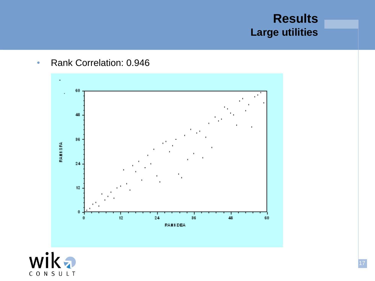### **Results Large utilities**

• Rank Correlation: 0.946



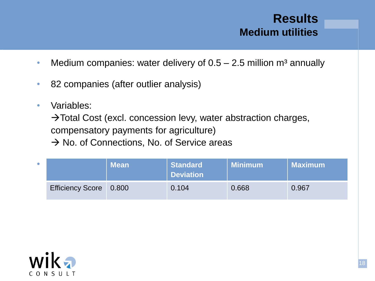### **Results Medium utilities**

- Medium companies: water delivery of  $0.5 2.5$  million m<sup>3</sup> annually
- 82 companies (after outlier analysis)
- Variables:

 $\rightarrow$  Total Cost (excl. concession levy, water abstraction charges,

compensatory payments for agriculture)

 $\rightarrow$  No. of Connections, No. of Service areas

| $\bullet$ |                        | <b>Mean</b> | <b>Standard</b><br><b>Deviation</b> | <b>Minimum</b> | <b>Maximum</b> |
|-----------|------------------------|-------------|-------------------------------------|----------------|----------------|
|           | Efficiency Score 0.800 |             | 0.104                               | 0.668          | 0.967          |

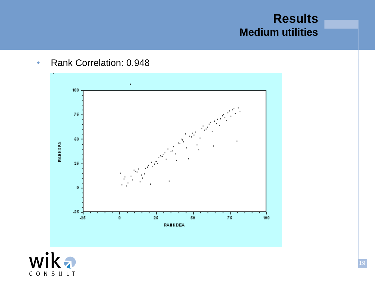### **Results Medium utilities**

• Rank Correlation: 0.948



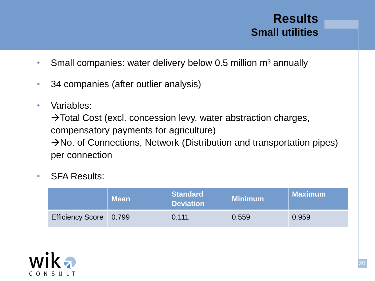### **Results Small utilities**

- Small companies: water delivery below 0.5 million  $m<sup>3</sup>$  annually
- 34 companies (after outlier analysis)
- Variables:

 $\rightarrow$  Total Cost (excl. concession levy, water abstraction charges, compensatory payments for agriculture)  $\rightarrow$ No. of Connections, Network (Distribution and transportation pipes) per connection

• SFA Results:

|                        | <b>Mean</b> | <b>Standard</b><br><b>Deviation</b> | <b>Minimum</b> | <b>Maximum</b> |
|------------------------|-------------|-------------------------------------|----------------|----------------|
| Efficiency Score 0.799 |             | 0.111                               | 0.559          | 0.959          |

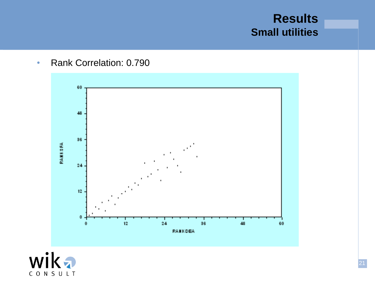### **Results Small utilities**

• Rank Correlation: 0.790



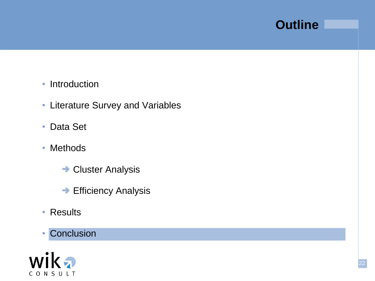- Introduction
- Literature Survey and Variables
- Data Set
- Methods
	- **Cluster Analysis**
	- **→ Efficiency Analysis**
- Results
- Conclusion

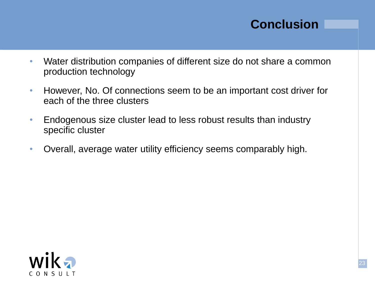### **Conclusion**

- Water distribution companies of different size do not share a common production technology
- However, No. Of connections seem to be an important cost driver for each of the three clusters
- Endogenous size cluster lead to less robust results than industry specific cluster
- Overall, average water utility efficiency seems comparably high.